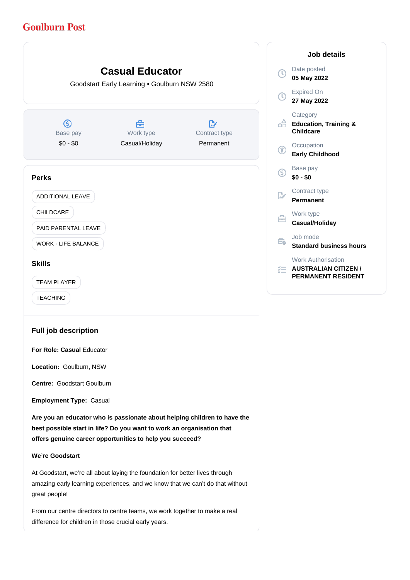# **Goulburn Post**



**Are you an educator who is passionate about helping children to have the best possible start in life? Do you want to work an organisation that offers genuine career opportunities to help you succeed?**

### **We're Goodstart**

At Goodstart, we're all about laying the foundation for better lives through amazing early learning experiences, and we know that we can't do that without great people!

From our centre directors to centre teams, we work together to make a real difference for children in those crucial early years.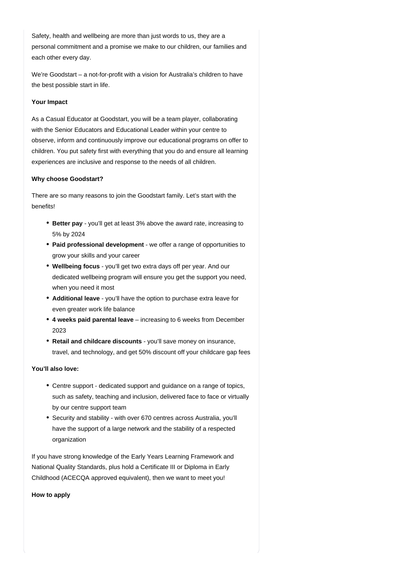Safety, health and wellbeing are more than just words to us, they are a personal commitment and a promise we make to our children, our families and each other every day.

We're Goodstart – a not-for-profit with a vision for Australia's children to have the best possible start in life.

#### **Your Impact**

As a Casual Educator at Goodstart, you will be a team player, collaborating with the Senior Educators and Educational Leader within your centre to observe, inform and continuously improve our educational programs on offer to children. You put safety first with everything that you do and ensure all learning experiences are inclusive and response to the needs of all children.

#### **Why choose Goodstart?**

There are so many reasons to join the Goodstart family. Let's start with the benefits!

- **Better pay** you'll get at least 3% above the award rate, increasing to 5% by 2024
- Paid professional development we offer a range of opportunities to grow your skills and your career
- **Wellbeing focus** you'll get two extra days off per year. And our dedicated wellbeing program will ensure you get the support you need, when you need it most
- Additional leave you'll have the option to purchase extra leave for even greater work life balance
- 4 weeks paid parental leave increasing to 6 weeks from December 2023
- **Retail and childcare discounts** you'll save money on insurance, travel, and technology, and get 50% discount off your childcare gap fees

## **You'll also love:**

- Centre support dedicated support and guidance on a range of topics, such as safety, teaching and inclusion, delivered face to face or virtually by our centre support team
- Security and stability with over 670 centres across Australia, you'll have the support of a large network and the stability of a respected organization

If you have strong knowledge of the Early Years Learning Framework and National Quality Standards, plus hold a Certificate III or Diploma in Early Childhood (ACECQA approved equivalent), then we want to meet you!

**How to apply**